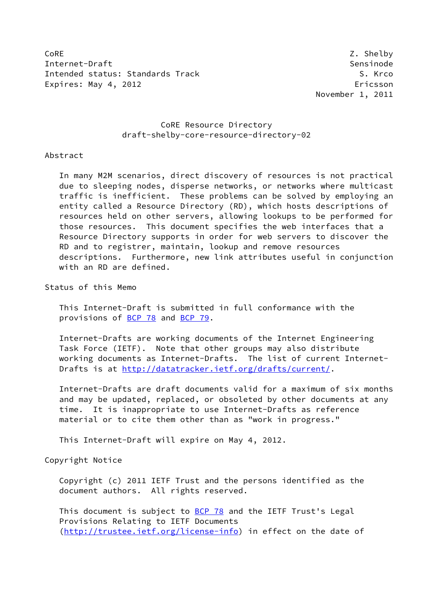CoRE 2. Shelby 2. Shelby 2. Shelby 2. Shelby 2. Shelby 2. Shelby 2. Shelby 2. Shelby 2. Shelby 2. Shelby 2. Shelby 2. Shelby 2. Shelby 2. Shelby 2. Shelby 2. Shelby 2. Shelby 2. Shelby 2. Shelby 2. Shelby 2. Shelby 2. Shel Internet-Draft Sensinode Intended status: Standards Track S. Krco Expires: May 4, 2012 **Expires: May 4, 2012** 

November 1, 2011

# CoRE Resource Directory draft-shelby-core-resource-directory-02

# Abstract

 In many M2M scenarios, direct discovery of resources is not practical due to sleeping nodes, disperse networks, or networks where multicast traffic is inefficient. These problems can be solved by employing an entity called a Resource Directory (RD), which hosts descriptions of resources held on other servers, allowing lookups to be performed for those resources. This document specifies the web interfaces that a Resource Directory supports in order for web servers to discover the RD and to registrer, maintain, lookup and remove resources descriptions. Furthermore, new link attributes useful in conjunction with an RD are defined.

Status of this Memo

 This Internet-Draft is submitted in full conformance with the provisions of [BCP 78](https://datatracker.ietf.org/doc/pdf/bcp78) and [BCP 79](https://datatracker.ietf.org/doc/pdf/bcp79).

 Internet-Drafts are working documents of the Internet Engineering Task Force (IETF). Note that other groups may also distribute working documents as Internet-Drafts. The list of current Internet- Drafts is at<http://datatracker.ietf.org/drafts/current/>.

 Internet-Drafts are draft documents valid for a maximum of six months and may be updated, replaced, or obsoleted by other documents at any time. It is inappropriate to use Internet-Drafts as reference material or to cite them other than as "work in progress."

This Internet-Draft will expire on May 4, 2012.

Copyright Notice

 Copyright (c) 2011 IETF Trust and the persons identified as the document authors. All rights reserved.

This document is subject to **[BCP 78](https://datatracker.ietf.org/doc/pdf/bcp78)** and the IETF Trust's Legal Provisions Relating to IETF Documents [\(http://trustee.ietf.org/license-info](http://trustee.ietf.org/license-info)) in effect on the date of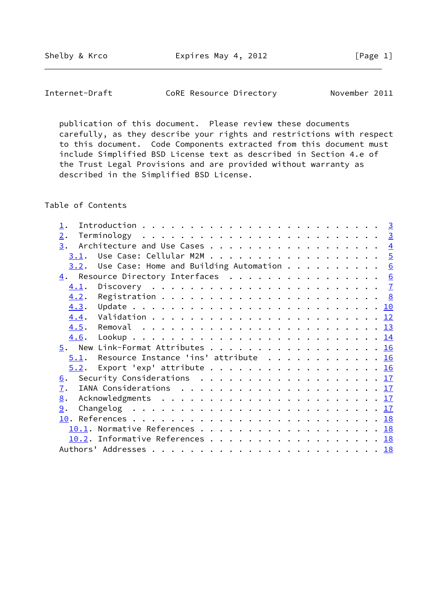Shelby & Krco **Expires May 4, 2012** [Page 1]

Internet-Draft CoRE Resource Directory November 2011

 publication of this document. Please review these documents carefully, as they describe your rights and restrictions with respect to this document. Code Components extracted from this document must include Simplified BSD License text as described in Section 4.e of the Trust Legal Provisions and are provided without warranty as described in the Simplified BSD License.

Table of Contents

| 2.                                                                                            |  |  |  |
|-----------------------------------------------------------------------------------------------|--|--|--|
|                                                                                               |  |  |  |
|                                                                                               |  |  |  |
| $3.2$ . Use Case: Home and Building Automation 6                                              |  |  |  |
| 4. Resource Directory Interfaces 6                                                            |  |  |  |
| 4.1.                                                                                          |  |  |  |
| 4.2.                                                                                          |  |  |  |
|                                                                                               |  |  |  |
|                                                                                               |  |  |  |
|                                                                                               |  |  |  |
|                                                                                               |  |  |  |
|                                                                                               |  |  |  |
| $5.1$ . Resource Instance 'ins' attribute 16                                                  |  |  |  |
| $5.2$ . Export 'exp' attribute 16                                                             |  |  |  |
| Security Considerations $\ldots \ldots \ldots \ldots \ldots \ldots \ldots \frac{17}{2}$<br>6. |  |  |  |
| 7.                                                                                            |  |  |  |
| 8.                                                                                            |  |  |  |
| 9.                                                                                            |  |  |  |
|                                                                                               |  |  |  |
|                                                                                               |  |  |  |
| 10.2. Informative References 18                                                               |  |  |  |
|                                                                                               |  |  |  |
|                                                                                               |  |  |  |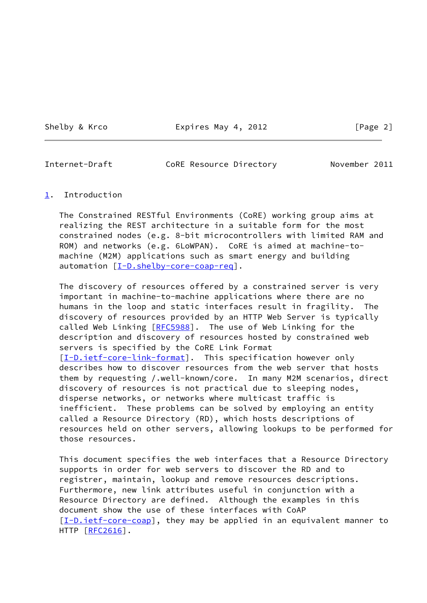Shelby & Krco **Expires May 4, 2012** [Page 2]

<span id="page-2-1"></span>

Internet-Draft CoRE Resource Directory November 2011

## <span id="page-2-0"></span>[1](#page-2-0). Introduction

 The Constrained RESTful Environments (CoRE) working group aims at realizing the REST architecture in a suitable form for the most constrained nodes (e.g. 8-bit microcontrollers with limited RAM and ROM) and networks (e.g. 6LoWPAN). CoRE is aimed at machine-to machine (M2M) applications such as smart energy and building automation  $[I-D.shapeby-core-coap-reg]$ .

 The discovery of resources offered by a constrained server is very important in machine-to-machine applications where there are no humans in the loop and static interfaces result in fragility. The discovery of resources provided by an HTTP Web Server is typically called Web Linking [[RFC5988\]](https://datatracker.ietf.org/doc/pdf/rfc5988). The use of Web Linking for the description and discovery of resources hosted by constrained web servers is specified by the CoRE Link Format [\[I-D.ietf-core-link-format](#page-19-5)]. This specification however only describes how to discover resources from the web server that hosts them by requesting /.well-known/core. In many M2M scenarios, direct discovery of resources is not practical due to sleeping nodes, disperse networks, or networks where multicast traffic is inefficient. These problems can be solved by employing an entity called a Resource Directory (RD), which hosts descriptions of resources held on other servers, allowing lookups to be performed for those resources.

 This document specifies the web interfaces that a Resource Directory supports in order for web servers to discover the RD and to registrer, maintain, lookup and remove resources descriptions. Furthermore, new link attributes useful in conjunction with a Resource Directory are defined. Although the examples in this document show the use of these interfaces with CoAP  $[I-D.iett-core-coap]$ , they may be applied in an equivalent manner to HTTP [\[RFC2616](https://datatracker.ietf.org/doc/pdf/rfc2616)].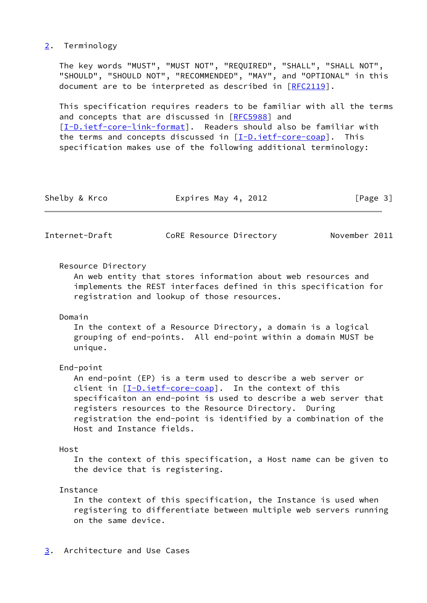# <span id="page-3-0"></span>[2](#page-3-0). Terminology

 The key words "MUST", "MUST NOT", "REQUIRED", "SHALL", "SHALL NOT", "SHOULD", "SHOULD NOT", "RECOMMENDED", "MAY", and "OPTIONAL" in this document are to be interpreted as described in [\[RFC2119](https://datatracker.ietf.org/doc/pdf/rfc2119)].

 This specification requires readers to be familiar with all the terms and concepts that are discussed in [[RFC5988\]](https://datatracker.ietf.org/doc/pdf/rfc5988) and [\[I-D.ietf-core-link-format](#page-19-5)]. Readers should also be familiar with the terms and concepts discussed in  $[I-D.iett-core-coap]$ . This specification makes use of the following additional terminology:

| Shelby & Krco<br>Expires May 4, 2012 | [Page 3] |  |  |
|--------------------------------------|----------|--|--|
|--------------------------------------|----------|--|--|

<span id="page-3-2"></span>Internet-Draft CoRE Resource Directory November 2011

## Resource Directory

 An web entity that stores information about web resources and implements the REST interfaces defined in this specification for registration and lookup of those resources.

#### Domain

 In the context of a Resource Directory, a domain is a logical grouping of end-points. All end-point within a domain MUST be unique.

## End-point

 An end-point (EP) is a term used to describe a web server or client in [\[I-D.ietf-core-coap\]](#page-19-6). In the context of this specificaiton an end-point is used to describe a web server that registers resources to the Resource Directory. During registration the end-point is identified by a combination of the Host and Instance fields.

# Host

 In the context of this specification, a Host name can be given to the device that is registering.

## Instance

 In the context of this specification, the Instance is used when registering to differentiate between multiple web servers running on the same device.

# <span id="page-3-1"></span>[3](#page-3-1). Architecture and Use Cases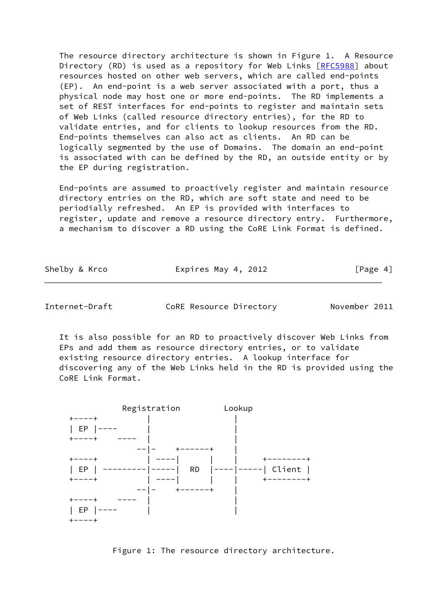The resource directory architecture is shown in Figure 1. A Resource Directory (RD) is used as a repository for Web Links [\[RFC5988](https://datatracker.ietf.org/doc/pdf/rfc5988)] about resources hosted on other web servers, which are called end-points (EP). An end-point is a web server associated with a port, thus a physical node may host one or more end-points. The RD implements a set of REST interfaces for end-points to register and maintain sets of Web Links (called resource directory entries), for the RD to validate entries, and for clients to lookup resources from the RD. End-points themselves can also act as clients. An RD can be logically segmented by the use of Domains. The domain an end-point is associated with can be defined by the RD, an outside entity or by the EP during registration.

 End-points are assumed to proactively register and maintain resource directory entries on the RD, which are soft state and need to be periodially refreshed. An EP is provided with interfaces to register, update and remove a resource directory entry. Furthermore, a mechanism to discover a RD using the CoRE Link Format is defined.

<span id="page-4-0"></span>Internet-Draft CoRE Resource Directory November 2011

 It is also possible for an RD to proactively discover Web Links from EPs and add them as resource directory entries, or to validate existing resource directory entries. A lookup interface for discovering any of the Web Links held in the RD is provided using the CoRE Link Format.



Figure 1: The resource directory architecture.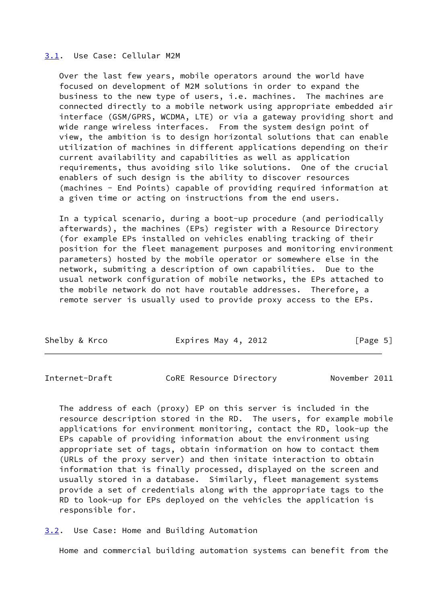## <span id="page-5-0"></span>[3.1](#page-5-0). Use Case: Cellular M2M

 Over the last few years, mobile operators around the world have focused on development of M2M solutions in order to expand the business to the new type of users, i.e. machines. The machines are connected directly to a mobile network using appropriate embedded air interface (GSM/GPRS, WCDMA, LTE) or via a gateway providing short and wide range wireless interfaces. From the system design point of view, the ambition is to design horizontal solutions that can enable utilization of machines in different applications depending on their current availability and capabilities as well as application requirements, thus avoiding silo like solutions. One of the crucial enablers of such design is the ability to discover resources (machines - End Points) capable of providing required information at a given time or acting on instructions from the end users.

 In a typical scenario, during a boot-up procedure (and periodically afterwards), the machines (EPs) register with a Resource Directory (for example EPs installed on vehicles enabling tracking of their position for the fleet management purposes and monitoring environment parameters) hosted by the mobile operator or somewhere else in the network, submiting a description of own capabilities. Due to the usual network configuration of mobile networks, the EPs attached to the mobile network do not have routable addresses. Therefore, a remote server is usually used to provide proxy access to the EPs.

| Shelby & Krco<br>Expires May 4, 2012 | [Page 5] |
|--------------------------------------|----------|
|--------------------------------------|----------|

<span id="page-5-2"></span>Internet-Draft CoRE Resource Directory November 2011

 The address of each (proxy) EP on this server is included in the resource description stored in the RD. The users, for example mobile applications for environment monitoring, contact the RD, look-up the EPs capable of providing information about the environment using appropriate set of tags, obtain information on how to contact them (URLs of the proxy server) and then initate interaction to obtain information that is finally processed, displayed on the screen and usually stored in a database. Similarly, fleet management systems provide a set of credentials along with the appropriate tags to the RD to look-up for EPs deployed on the vehicles the application is responsible for.

<span id="page-5-1"></span>[3.2](#page-5-1). Use Case: Home and Building Automation

Home and commercial building automation systems can benefit from the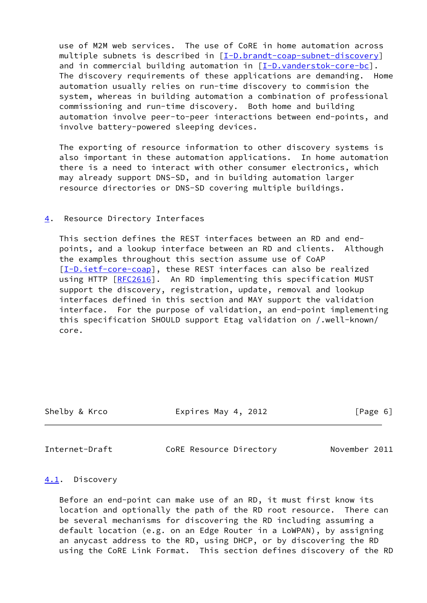use of M2M web services. The use of CoRE in home automation across multiple subnets is described in [\[I-D.brandt-coap-subnet-discovery](#page-19-7)] and in commercial building automation in  $[I-D.vanderstok-core-bc]$  $[I-D.vanderstok-core-bc]$ . The discovery requirements of these applications are demanding. Home automation usually relies on run-time discovery to commision the system, whereas in building automation a combination of professional commissioning and run-time discovery. Both home and building automation involve peer-to-peer interactions between end-points, and involve battery-powered sleeping devices.

 The exporting of resource information to other discovery systems is also important in these automation applications. In home automation there is a need to interact with other consumer electronics, which may already support DNS-SD, and in building automation larger resource directories or DNS-SD covering multiple buildings.

# <span id="page-6-0"></span>[4](#page-6-0). Resource Directory Interfaces

 This section defines the REST interfaces between an RD and end points, and a lookup interface between an RD and clients. Although the examples throughout this section assume use of CoAP [\[I-D.ietf-core-coap\]](#page-19-6), these REST interfaces can also be realized using HTTP [[RFC2616\]](https://datatracker.ietf.org/doc/pdf/rfc2616). An RD implementing this specification MUST support the discovery, registration, update, removal and lookup interfaces defined in this section and MAY support the validation interface. For the purpose of validation, an end-point implementing this specification SHOULD support Etag validation on /.well-known/ core.

| Shelby & Krco | Expires May 4, 2012 | [Page 6] |
|---------------|---------------------|----------|
|               |                     |          |

<span id="page-6-2"></span>Internet-Draft CoRE Resource Directory November 2011

# <span id="page-6-1"></span>[4.1](#page-6-1). Discovery

 Before an end-point can make use of an RD, it must first know its location and optionally the path of the RD root resource. There can be several mechanisms for discovering the RD including assuming a default location (e.g. on an Edge Router in a LoWPAN), by assigning an anycast address to the RD, using DHCP, or by discovering the RD using the CoRE Link Format. This section defines discovery of the RD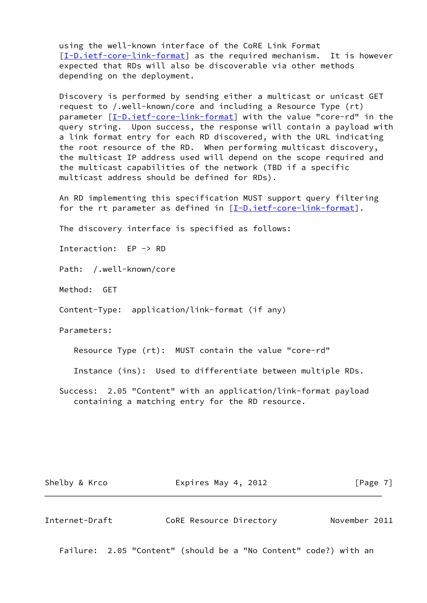using the well-known interface of the CoRE Link Format [\[I-D.ietf-core-link-format](#page-19-5)] as the required mechanism. It is however expected that RDs will also be discoverable via other methods depending on the deployment.

 Discovery is performed by sending either a multicast or unicast GET request to /.well-known/core and including a Resource Type (rt) parameter [[I-D.ietf-core-link-format\]](#page-19-5) with the value "core-rd" in the query string. Upon success, the response will contain a payload with a link format entry for each RD discovered, with the URL indicating the root resource of the RD. When performing multicast discovery, the multicast IP address used will depend on the scope required and the multicast capabilities of the network (TBD if a specific multicast address should be defined for RDs).

 An RD implementing this specification MUST support query filtering for the rt parameter as defined in  $[I-D.iett-core-link-format]$ .

The discovery interface is specified as follows:

Interaction: EP -> RD

Path: /.well-known/core

Method: GET

Content-Type: application/link-format (if any)

Parameters:

Resource Type (rt): MUST contain the value "core-rd"

Instance (ins): Used to differentiate between multiple RDs.

 Success: 2.05 "Content" with an application/link-format payload containing a matching entry for the RD resource.

Shelby & Krco **Expires May 4, 2012** [Page 7]

<span id="page-7-0"></span>Internet-Draft CoRE Resource Directory November 2011

Failure: 2.05 "Content" (should be a "No Content" code?) with an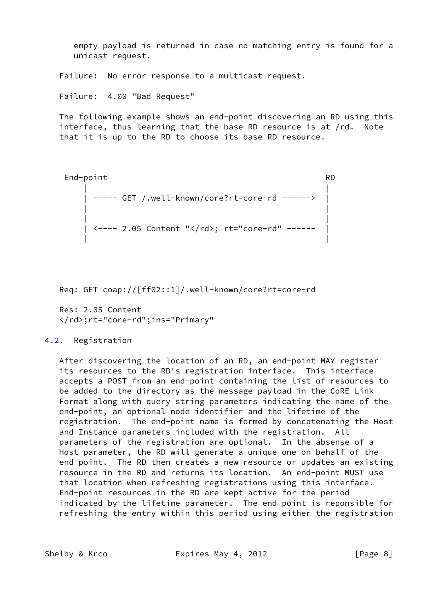empty payload is returned in case no matching entry is found for a unicast request.

Failure: No error response to a multicast request.

Failure: 4.00 "Bad Request"

 The following example shows an end-point discovering an RD using this interface, thus learning that the base RD resource is at /rd. Note that it is up to the RD to choose its base RD resource.

```
 End-point RD
| |
   | ----- GET /.well-known/core?rt=core-rd ------> |
| |
| |
   | <---- 2.05 Content "</rd>; rt="core-rd" ------ |
| |
```
Req: GET coap://[ff02::1]/.well-known/core?rt=core-rd

 Res: 2.05 Content </rd>;rt="core-rd";ins="Primary"

# <span id="page-8-0"></span>[4.2](#page-8-0). Registration

 After discovering the location of an RD, an end-point MAY register its resources to the RD's registration interface. This interface accepts a POST from an end-point containing the list of resources to be added to the directory as the message payload in the CoRE Link Format along with query string parameters indicating the name of the end-point, an optional node identifier and the lifetime of the registration. The end-point name is formed by concatenating the Host and Instance parameters included with the registration. All parameters of the registration are optional. In the absense of a Host parameter, the RD will generate a unique one on behalf of the end-point. The RD then creates a new resource or updates an existing resource in the RD and returns its location. An end-point MUST use that location when refreshing registrations using this interface. End-point resources in the RD are kept active for the period indicated by the lifetime parameter. The end-point is reponsible for refreshing the entry within this period using either the registration

Shelby & Krco **Expires May 4, 2012** [Page 8]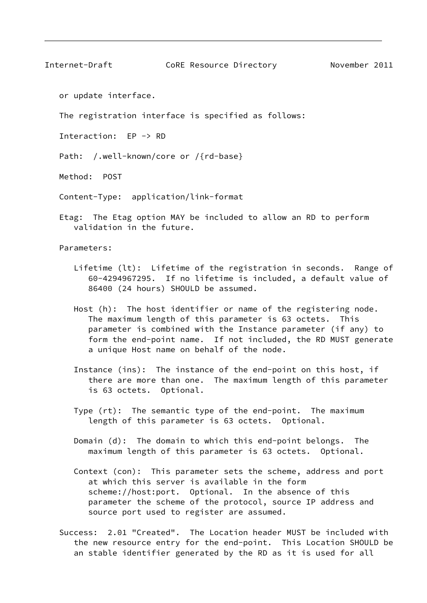Internet-Draft CoRE Resource Directory November 2011

or update interface.

The registration interface is specified as follows:

Interaction: EP -> RD

Path: /.well-known/core or /{rd-base}

Method: POST

Content-Type: application/link-format

 Etag: The Etag option MAY be included to allow an RD to perform validation in the future.

Parameters:

- Lifetime (lt): Lifetime of the registration in seconds. Range of 60-4294967295. If no lifetime is included, a default value of 86400 (24 hours) SHOULD be assumed.
- Host (h): The host identifier or name of the registering node. The maximum length of this parameter is 63 octets. This parameter is combined with the Instance parameter (if any) to form the end-point name. If not included, the RD MUST generate a unique Host name on behalf of the node.
- Instance (ins): The instance of the end-point on this host, if there are more than one. The maximum length of this parameter is 63 octets. Optional.
- Type (rt): The semantic type of the end-point. The maximum length of this parameter is 63 octets. Optional.
- Domain (d): The domain to which this end-point belongs. The maximum length of this parameter is 63 octets. Optional.
- Context (con): This parameter sets the scheme, address and port at which this server is available in the form scheme://host:port. Optional. In the absence of this parameter the scheme of the protocol, source IP address and source port used to register are assumed.
- Success: 2.01 "Created". The Location header MUST be included with the new resource entry for the end-point. This Location SHOULD be an stable identifier generated by the RD as it is used for all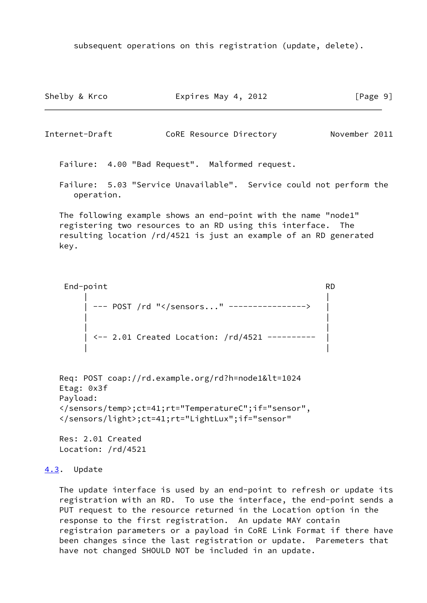subsequent operations on this registration (update, delete).

Shelby & Krco **Expires May 4, 2012** [Page 9]

<span id="page-10-1"></span>Internet-Draft CoRE Resource Directory November 2011

Failure: 4.00 "Bad Request". Malformed request.

 Failure: 5.03 "Service Unavailable". Service could not perform the operation.

 The following example shows an end-point with the name "node1" registering two resources to an RD using this interface. The resulting location /rd/4521 is just an example of an RD generated key.

```
 End-point RD
| |
   | --- POST /rd "</sensors..." ----------------> |
| |
| |
   | <-- 2.01 Created Location: /rd/4521 ---------- |
| |
```

```
Req: POST coap://rd.example.org/rd?h=node1&lt=1024
Etag: 0x3f
Payload:
</sensors/temp>;ct=41;rt="TemperatureC";if="sensor",
</sensors/light>;ct=41;rt="LightLux";if="sensor"
```
 Res: 2.01 Created Location: /rd/4521

# <span id="page-10-0"></span>[4.3](#page-10-0). Update

 The update interface is used by an end-point to refresh or update its registration with an RD. To use the interface, the end-point sends a PUT request to the resource returned in the Location option in the response to the first registration. An update MAY contain registraion parameters or a payload in CoRE Link Format if there have been changes since the last registration or update. Paremeters that have not changed SHOULD NOT be included in an update.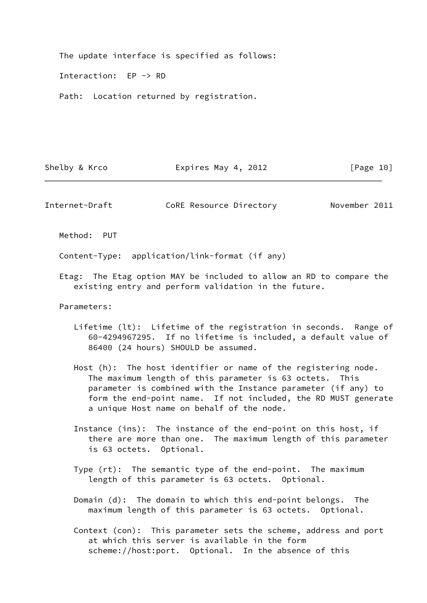The update interface is specified as follows:

Interaction: EP -> RD

Path: Location returned by registration.

Shelby & Krco **Expires May 4, 2012** [Page 10]

Internet-Draft CoRE Resource Directory November 2011

Method: PUT

Content-Type: application/link-format (if any)

 Etag: The Etag option MAY be included to allow an RD to compare the existing entry and perform validation in the future.

Parameters:

- Lifetime (lt): Lifetime of the registration in seconds. Range of 60-4294967295. If no lifetime is included, a default value of 86400 (24 hours) SHOULD be assumed.
- Host (h): The host identifier or name of the registering node. The maximum length of this parameter is 63 octets. This parameter is combined with the Instance parameter (if any) to form the end-point name. If not included, the RD MUST generate a unique Host name on behalf of the node.
- Instance (ins): The instance of the end-point on this host, if there are more than one. The maximum length of this parameter is 63 octets. Optional.
- Type (rt): The semantic type of the end-point. The maximum length of this parameter is 63 octets. Optional.
- Domain (d): The domain to which this end-point belongs. The maximum length of this parameter is 63 octets. Optional.
- Context (con): This parameter sets the scheme, address and port at which this server is available in the form scheme://host:port. Optional. In the absence of this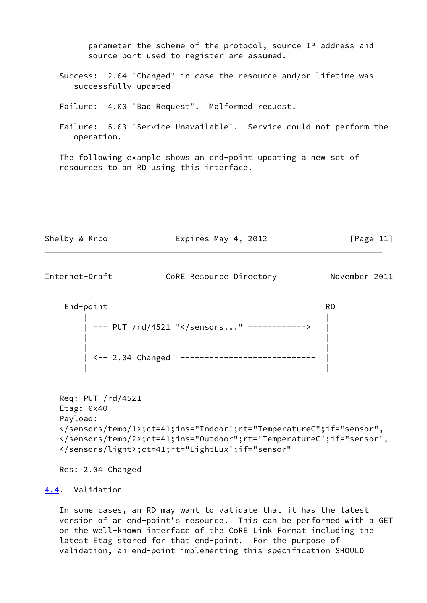parameter the scheme of the protocol, source IP address and source port used to register are assumed.

 Success: 2.04 "Changed" in case the resource and/or lifetime was successfully updated

Failure: 4.00 "Bad Request". Malformed request.

 Failure: 5.03 "Service Unavailable". Service could not perform the operation.

 The following example shows an end-point updating a new set of resources to an RD using this interface.

| Shelby & Krco | Expires May 4, 2012 | [Page 11] |
|---------------|---------------------|-----------|
|               |                     |           |

<span id="page-12-1"></span>Internet-Draft CoRE Resource Directory November 2011

 End-point RD | | | --- PUT /rd/4521 "</sensors..." ------------> | | | | | | <-- 2.04 Changed ---------------------------- | | |

```
 Req: PUT /rd/4521
Etag: 0x40
Payload:
</sensors/temp/1>;ct=41;ins="Indoor";rt="TemperatureC";if="sensor",
</sensors/temp/2>;ct=41;ins="Outdoor";rt="TemperatureC";if="sensor",
</sensors/light>;ct=41;rt="LightLux";if="sensor"
```
Res: 2.04 Changed

# <span id="page-12-0"></span>[4.4](#page-12-0). Validation

 In some cases, an RD may want to validate that it has the latest version of an end-point's resource. This can be performed with a GET on the well-known interface of the CoRE Link Format including the latest Etag stored for that end-point. For the purpose of validation, an end-point implementing this specification SHOULD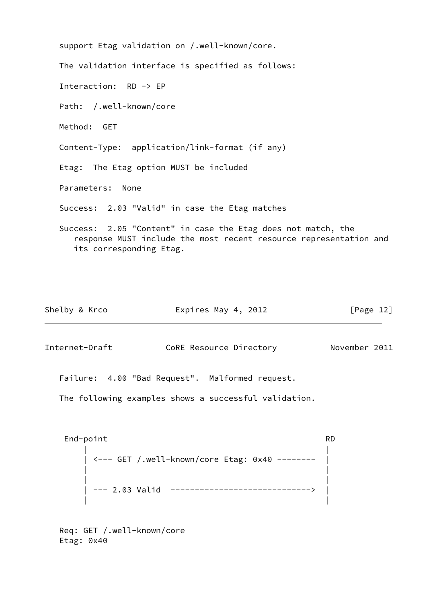| support Etag validation on /.well-known/core.                                                                                                                |
|--------------------------------------------------------------------------------------------------------------------------------------------------------------|
| The validation interface is specified as follows:                                                                                                            |
| Interaction: $RD \rightarrow EP$                                                                                                                             |
| Path: /.well-known/core                                                                                                                                      |
| Method: GET                                                                                                                                                  |
| Content-Type: application/link-format (if any)                                                                                                               |
| Etag: The Etag option MUST be included                                                                                                                       |
| Parameters: None                                                                                                                                             |
| Success: 2.03 "Valid" in case the Etag matches                                                                                                               |
| Success: 2.05 "Content" in case the Etag does not match, the<br>response MUST include the most recent resource representation and<br>its corresponding Etag. |

| Shelby & Krco | Expires May 4, 2012 | [Page 12] |
|---------------|---------------------|-----------|
|               |                     |           |

<span id="page-13-0"></span>Internet-Draft CoRE Resource Directory November 2011

Failure: 4.00 "Bad Request". Malformed request.

The following examples shows a successful validation.

End-point RD | | | <--- GET /.well-known/core Etag: 0x40 -------- | | | | | | --- 2.03 Valid -----------------------------> | | |

 Req: GET /.well-known/core Etag: 0x40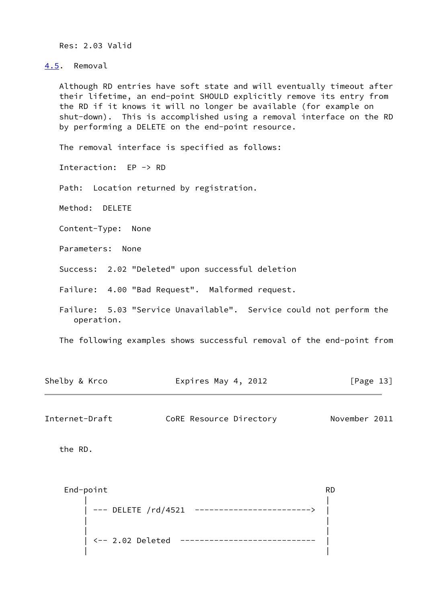Res: 2.03 Valid

<span id="page-14-0"></span>[4.5](#page-14-0). Removal

 Although RD entries have soft state and will eventually timeout after their lifetime, an end-point SHOULD explicitly remove its entry from the RD if it knows it will no longer be available (for example on shut-down). This is accomplished using a removal interface on the RD by performing a DELETE on the end-point resource.

The removal interface is specified as follows:

Interaction: EP -> RD

Path: Location returned by registration.

Method: DELETE

Content-Type: None

Parameters: None

Success: 2.02 "Deleted" upon successful deletion

Failure: 4.00 "Bad Request". Malformed request.

 Failure: 5.03 "Service Unavailable". Service could not perform the operation.

The following examples shows successful removal of the end-point from

| Shelby & Krco | Expires May 4, 2012 | [Page 13] |
|---------------|---------------------|-----------|
|               |                     |           |

<span id="page-14-1"></span>Internet-Draft CoRE Resource Directory November 2011

the RD.

End-point RD | | --- DELETE /rd/4521 --------------------------> | | | | | <-- 2.02 Deleted ---------------------------- | | |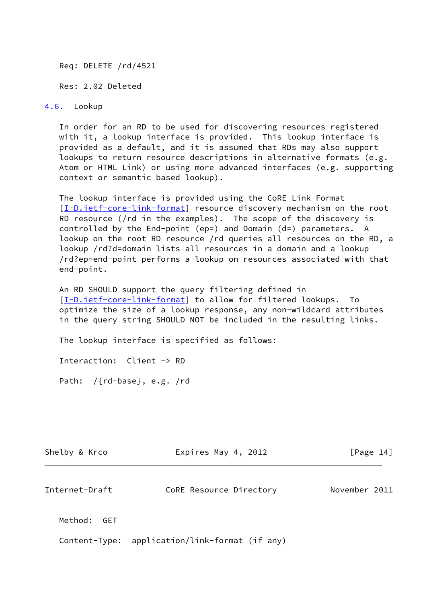Req: DELETE /rd/4521

Res: 2.02 Deleted

<span id="page-15-0"></span>[4.6](#page-15-0). Lookup

 In order for an RD to be used for discovering resources registered with it, a lookup interface is provided. This lookup interface is provided as a default, and it is assumed that RDs may also support lookups to return resource descriptions in alternative formats (e.g. Atom or HTML Link) or using more advanced interfaces (e.g. supporting context or semantic based lookup).

 The lookup interface is provided using the CoRE Link Format [\[I-D.ietf-core-link-format](#page-19-5)] resource discovery mechanism on the root RD resource (/rd in the examples). The scope of the discovery is controlled by the End-point (ep=) and Domain (d=) parameters. A lookup on the root RD resource /rd queries all resources on the RD, a lookup /rd?d=domain lists all resources in a domain and a lookup /rd?ep=end-point performs a lookup on resources associated with that end-point.

 An RD SHOULD support the query filtering defined in [\[I-D.ietf-core-link-format](#page-19-5)] to allow for filtered lookups. To optimize the size of a lookup response, any non-wildcard attributes in the query string SHOULD NOT be included in the resulting links.

The lookup interface is specified as follows:

Interaction: Client -> RD

Path: /{rd-base}, e.g. /rd

| Shelby & Krco         | Expires May 4, 2012     | [Page 14]     |
|-----------------------|-------------------------|---------------|
| Internet-Draft        | CoRE Resource Directory | November 2011 |
| Method:<br><b>GET</b> |                         |               |

Content-Type: application/link-format (if any)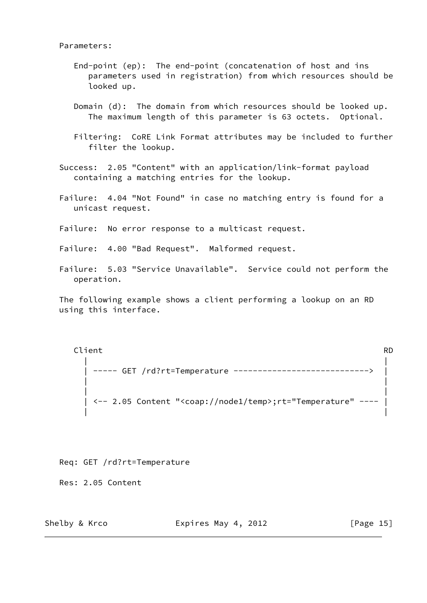## Parameters:

- End-point (ep): The end-point (concatenation of host and ins parameters used in registration) from which resources should be looked up.
- Domain (d): The domain from which resources should be looked up. The maximum length of this parameter is 63 octets. Optional.
- Filtering: CoRE Link Format attributes may be included to further filter the lookup.

 Success: 2.05 "Content" with an application/link-format payload containing a matching entries for the lookup.

- Failure: 4.04 "Not Found" in case no matching entry is found for a unicast request.
- Failure: No error response to a multicast request.
- Failure: 4.00 "Bad Request". Malformed request.
- Failure: 5.03 "Service Unavailable". Service could not perform the operation.

 The following example shows a client performing a lookup on an RD using this interface.

Client RD | | | ----- GET /rd?rt=Temperature ----------------------------> | | | | | | <-- 2.05 Content "<coap://node1/temp>;rt="Temperature" ---- | | |

Req: GET /rd?rt=Temperature

Res: 2.05 Content

Shelby & Krco **Expires May 4, 2012** [Page 15]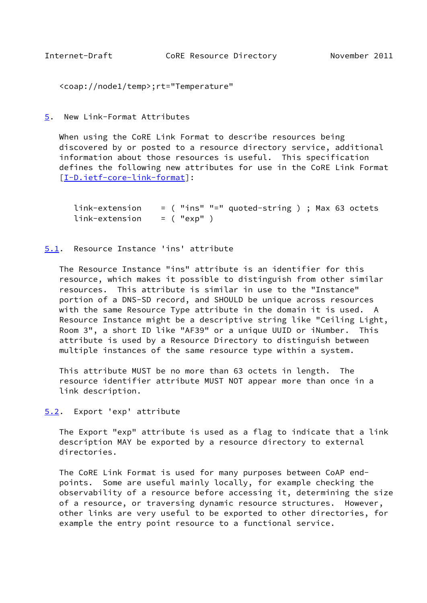```
 <coap://node1/temp>;rt="Temperature"
```
<span id="page-17-0"></span>[5](#page-17-0). New Link-Format Attributes

 When using the CoRE Link Format to describe resources being discovered by or posted to a resource directory service, additional information about those resources is useful. This specification defines the following new attributes for use in the CoRE Link Format [\[I-D.ietf-core-link-format](#page-19-5)]:

```
 link-extension = ( "ins" "=" quoted-string ) ; Max 63 octets
link-extension = ( "exp" )
```
# <span id="page-17-2"></span>[5.1](#page-17-2). Resource Instance 'ins' attribute

 The Resource Instance "ins" attribute is an identifier for this resource, which makes it possible to distinguish from other similar resources. This attribute is similar in use to the "Instance" portion of a DNS-SD record, and SHOULD be unique across resources with the same Resource Type attribute in the domain it is used. A Resource Instance might be a descriptive string like "Ceiling Light, Room 3", a short ID like "AF39" or a unique UUID or iNumber. This attribute is used by a Resource Directory to distinguish between multiple instances of the same resource type within a system.

 This attribute MUST be no more than 63 octets in length. The resource identifier attribute MUST NOT appear more than once in a link description.

<span id="page-17-3"></span>[5.2](#page-17-3). Export 'exp' attribute

 The Export "exp" attribute is used as a flag to indicate that a link description MAY be exported by a resource directory to external directories.

 The CoRE Link Format is used for many purposes between CoAP end points. Some are useful mainly locally, for example checking the observability of a resource before accessing it, determining the size of a resource, or traversing dynamic resource structures. However, other links are very useful to be exported to other directories, for example the entry point resource to a functional service.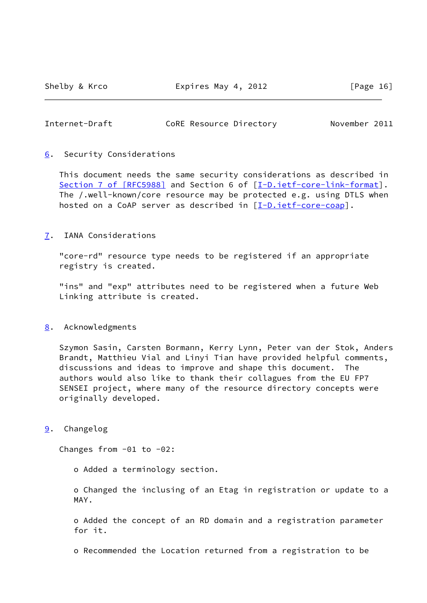Shelby & Krco Expires May 4, 2012 [Page 16]

# <span id="page-18-1"></span>Internet-Draft CoRE Resource Directory November 2011

## <span id="page-18-0"></span>[6](#page-18-0). Security Considerations

 This document needs the same security considerations as described in Section [7 of \[RFC5988\]](https://datatracker.ietf.org/doc/pdf/rfc5988#section-7) and Section 6 of [\[I-D.ietf-core-link-format](#page-19-5)]. The /.well-known/core resource may be protected e.g. using DTLS when hosted on a CoAP server as described in [\[I-D.ietf-core-coap\]](#page-19-6).

## <span id="page-18-2"></span>[7](#page-18-2). IANA Considerations

 "core-rd" resource type needs to be registered if an appropriate registry is created.

 "ins" and "exp" attributes need to be registered when a future Web Linking attribute is created.

## <span id="page-18-3"></span>[8](#page-18-3). Acknowledgments

 Szymon Sasin, Carsten Bormann, Kerry Lynn, Peter van der Stok, Anders Brandt, Matthieu Vial and Linyi Tian have provided helpful comments, discussions and ideas to improve and shape this document. The authors would also like to thank their collagues from the EU FP7 SENSEI project, where many of the resource directory concepts were originally developed.

<span id="page-18-4"></span>[9](#page-18-4). Changelog

Changes from -01 to -02:

o Added a terminology section.

 o Changed the inclusing of an Etag in registration or update to a MAY.

 o Added the concept of an RD domain and a registration parameter for it.

o Recommended the Location returned from a registration to be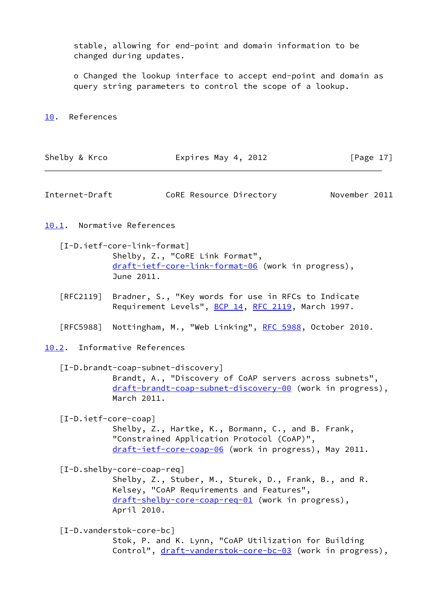stable, allowing for end-point and domain information to be changed during updates.

 o Changed the lookup interface to accept end-point and domain as query string parameters to control the scope of a lookup.

#### <span id="page-19-0"></span>[10.](#page-19-0) References

| Shelby & Krco | Expires May 4, 2012 | [Page 17] |
|---------------|---------------------|-----------|
|---------------|---------------------|-----------|

<span id="page-19-1"></span>Internet-Draft CoRE Resource Directory November 2011

# <span id="page-19-2"></span>[10.1](#page-19-2). Normative References

<span id="page-19-5"></span> [I-D.ietf-core-link-format] Shelby, Z., "CoRE Link Format", [draft-ietf-core-link-format-06](https://datatracker.ietf.org/doc/pdf/draft-ietf-core-link-format-06) (work in progress), June 2011.

 [RFC2119] Bradner, S., "Key words for use in RFCs to Indicate Requirement Levels", [BCP 14](https://datatracker.ietf.org/doc/pdf/bcp14), [RFC 2119](https://datatracker.ietf.org/doc/pdf/rfc2119), March 1997.

[RFC5988] Nottingham, M., "Web Linking", [RFC 5988](https://datatracker.ietf.org/doc/pdf/rfc5988), October 2010.

# <span id="page-19-3"></span>[10.2](#page-19-3). Informative References

<span id="page-19-7"></span> [I-D.brandt-coap-subnet-discovery] Brandt, A., "Discovery of CoAP servers across subnets", [draft-brandt-coap-subnet-discovery-00](https://datatracker.ietf.org/doc/pdf/draft-brandt-coap-subnet-discovery-00) (work in progress), March 2011.

<span id="page-19-6"></span>[I-D.ietf-core-coap]

 Shelby, Z., Hartke, K., Bormann, C., and B. Frank, "Constrained Application Protocol (CoAP)", [draft-ietf-core-coap-06](https://datatracker.ietf.org/doc/pdf/draft-ietf-core-coap-06) (work in progress), May 2011.

<span id="page-19-4"></span>[I-D.shelby-core-coap-req]

 Shelby, Z., Stuber, M., Sturek, D., Frank, B., and R. Kelsey, "CoAP Requirements and Features", [draft-shelby-core-coap-req-01](https://datatracker.ietf.org/doc/pdf/draft-shelby-core-coap-req-01) (work in progress), April 2010.

<span id="page-19-8"></span> [I-D.vanderstok-core-bc] Stok, P. and K. Lynn, "CoAP Utilization for Building Control", [draft-vanderstok-core-bc-03](https://datatracker.ietf.org/doc/pdf/draft-vanderstok-core-bc-03) (work in progress),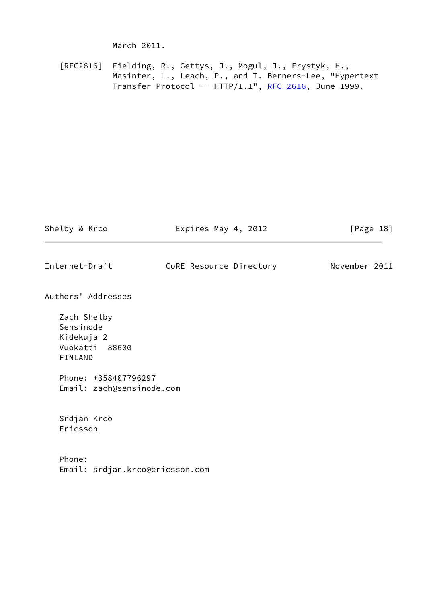March 2011.

 [RFC2616] Fielding, R., Gettys, J., Mogul, J., Frystyk, H., Masinter, L., Leach, P., and T. Berners-Lee, "Hypertext Transfer Protocol --  $HTTP/1.1$ ", [RFC 2616,](https://datatracker.ietf.org/doc/pdf/rfc2616) June 1999.

| Shelby & Krco                                                              | Expires May 4, 2012     | [Page $18$ ]  |
|----------------------------------------------------------------------------|-------------------------|---------------|
| Internet-Draft                                                             | CoRE Resource Directory | November 2011 |
| Authors' Addresses                                                         |                         |               |
| Zach Shelby<br>Sensinode<br>Kidekuja 2<br>Vuokatti 88600<br><b>FINLAND</b> |                         |               |
| Phone: +358407796297<br>Email: zach@sensinode.com                          |                         |               |
| Srdjan Krco<br>Ericsson                                                    |                         |               |
| Phone:<br>Email: srdjan.krco@ericsson.com                                  |                         |               |